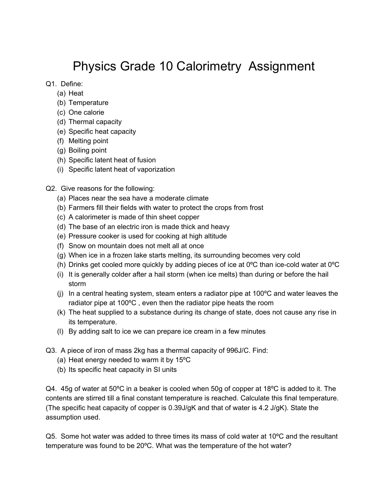## Physics Grade 10 Calorimetry Assignment

Q1. Define:

- (a) Heat
- (b) Temperature
- (c) One calorie
- (d) Thermal capacity
- (e) Specific heat capacity
- (f) Melting point
- (g) Boiling point
- (h) Specific latent heat of fusion
- (i) Specific latent heat of vaporization
- Q2. Give reasons for the following:
	- (a) Places near the sea have a moderate climate
	- (b) Farmers fill their fields with water to protect the crops from frost
	- (c) A calorimeter is made of thin sheet copper
	- (d) The base of an electric iron is made thick and heavy
	- (e) Pressure cooker is used for cooking at high altitude
	- (f) Snow on mountain does not melt all at once
	- (g) When ice in a frozen lake starts melting, its surrounding becomes very cold
	- (h) Drinks get cooled more quickly by adding pieces of ice at 0ºC than ice-cold water at 0ºC
	- (i) It is generally colder after a hail storm (when ice melts) than during or before the hail storm
	- (i) In a central heating system, steam enters a radiator pipe at  $100^{\circ}$ C and water leaves the radiator pipe at 100ºC , even then the radiator pipe heats the room
	- (k) The heat supplied to a substance during its change of state, does not cause any rise in its temperature.
	- (l) By adding salt to ice we can prepare ice cream in a few minutes
- Q3. A piece of iron of mass 2kg has a thermal capacity of 996J/C. Find:
	- (a) Heat energy needed to warm it by 15ºC
	- (b) Its specific heat capacity in SI units

Q4. 45g of water at 50ºC in a beaker is cooled when 50g of copper at 18ºC is added to it. The contents are stirred till a final constant temperature is reached. Calculate this final temperature. (The specific heat capacity of copper is 0.39J/gK and that of water is 4.2 J/gK). State the assumption used.

 $Q5.$  Some hot water was added to three times its mass of cold water at 10 $^{\circ}$ C and the resultant temperature was found to be 20ºC. What was the temperature of the hot water?